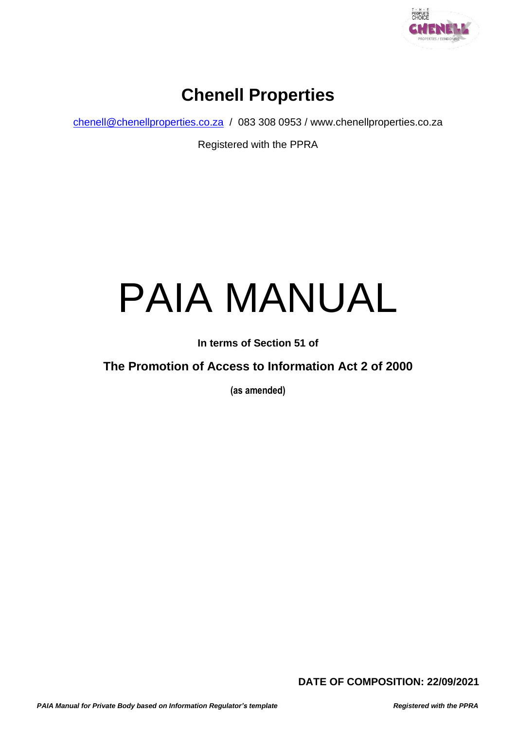

### **Chenell Properties**

[chenell@chenellproperties.co.za](mailto:chenell@chenellproperties.co.za) / 083 308 0953 / www.chenellproperties.co.za

Registered with the PPRA

# PAIA MANUAL

**In terms of Section 51 of**

#### **The Promotion of Access to Information Act 2 of 2000**

**(as amended)**

**DATE OF COMPOSITION: 22/09/2021**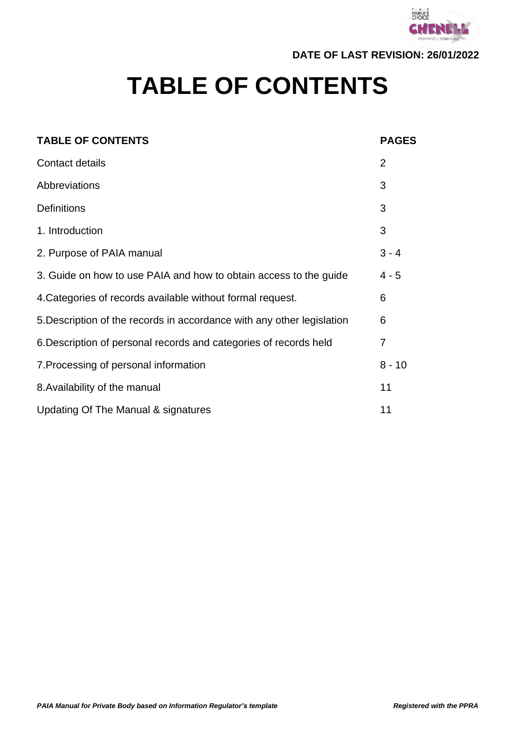

**DATE OF LAST REVISION: 26/01/2022**

## **TABLE OF CONTENTS**

| <b>TABLE OF CONTENTS</b>                                               | <b>PAGES</b>   |
|------------------------------------------------------------------------|----------------|
| Contact details                                                        | $\overline{2}$ |
| Abbreviations                                                          | 3              |
| <b>Definitions</b>                                                     | 3              |
| 1. Introduction                                                        | 3              |
| 2. Purpose of PAIA manual                                              | $3 - 4$        |
| 3. Guide on how to use PAIA and how to obtain access to the guide      | $4 - 5$        |
| 4. Categories of records available without formal request.             | 6              |
| 5. Description of the records in accordance with any other legislation | 6              |
| 6. Description of personal records and categories of records held      | $\overline{7}$ |
| 7. Processing of personal information                                  | $8 - 10$       |
| 8. Availability of the manual                                          | 11             |
| Updating Of The Manual & signatures                                    | 11             |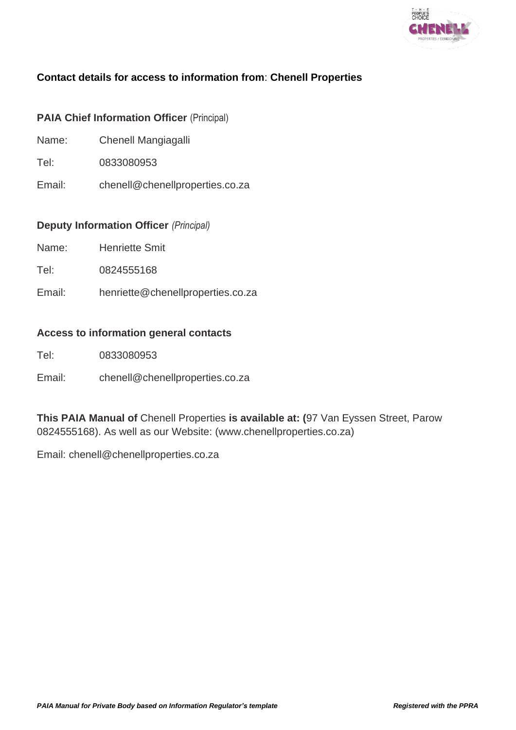

#### **Contact details for access to information from**: **Chenell Properties**

#### **PAIA Chief Information Officer** (Principal)

- Name: Chenell Mangiagalli
- Tel: 0833080953
- Email: chenell@chenellproperties.co.za

#### **Deputy Information Officer** *(Principal)*

- Name: Henriette Smit
- Tel: 0824555168
- Email: henriette@chenellproperties.co.za

#### **Access to information general contacts**

- Tel: 0833080953
- Email: chenell@chenellproperties.co.za

**This PAIA Manual of** Chenell Properties **is available at: (**97 Van Eyssen Street, Parow 0824555168). As well as our Website: (www.chenellproperties.co.za)

Email: chenell@chenellproperties.co.za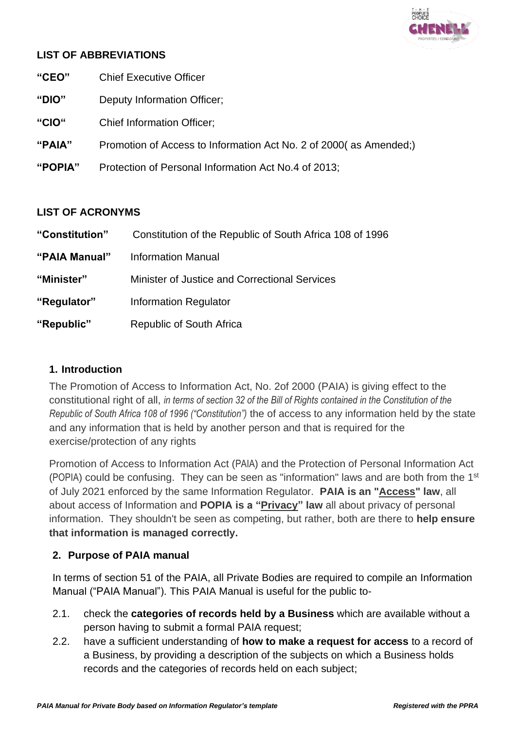

#### **LIST OF ABBREVIATIONS**

- **"CEO"** Chief Executive Officer
- **"DIO"** Deputy Information Officer;
- **"CIO"** Chief Information Officer;
- **"PAIA"** Promotion of Access to Information Act No. 2 of 2000( as Amended;)
- **"POPIA"** Protection of Personal Information Act No.4 of 2013;

#### **LIST OF ACRONYMS**

| "Constitution" | Constitution of the Republic of South Africa 108 of 1996 |
|----------------|----------------------------------------------------------|
| "PAIA Manual"  | Information Manual                                       |
| "Minister"     | Minister of Justice and Correctional Services            |
| "Regulator"    | <b>Information Regulator</b>                             |
| "Republic"     | Republic of South Africa                                 |

#### **1. Introduction**

The Promotion of Access to Information Act, No. 2of 2000 (PAIA) is giving effect to the constitutional right of all, *in terms of section 32 of the Bill of Rights contained in the Constitution of the Republic of South Africa 108 of 1996 ("Constitution")* the of access to any information held by the state and any information that is held by another person and that is required for the exercise/protection of any rights

Promotion of Access to Information Act (PAIA) and the Protection of Personal Information Act (POPIA) could be confusing. They can be seen as "information" laws and are both from the 1<sup>st</sup> of July 2021 enforced by the same Information Regulator. **PAIA is an "Access" law**, all about access of Information and **POPIA is a "Privacy" law** all about privacy of personal information. They shouldn't be seen as competing, but rather, both are there to **help ensure that information is managed correctly.**

#### **2. Purpose of PAIA manual**

In terms of section 51 of the PAIA, all Private Bodies are required to compile an Information Manual ("PAIA Manual"). This PAIA Manual is useful for the public to-

- 2.1. check the **categories of records held by a Business** which are available without a person having to submit a formal PAIA request;
- 2.2. have a sufficient understanding of **how to make a request for access** to a record of a Business, by providing a description of the subjects on which a Business holds records and the categories of records held on each subject;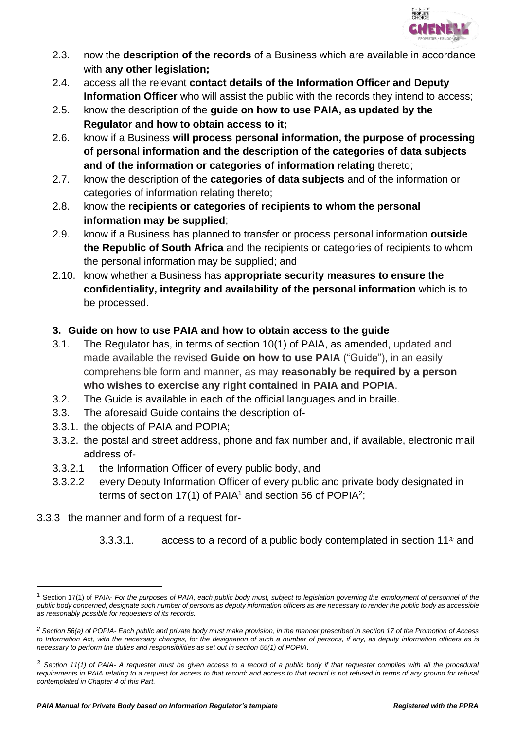

- 2.3. now the **description of the records** of a Business which are available in accordance with **any other legislation;**
- 2.4. access all the relevant **contact details of the Information Officer and Deputy Information Officer** who will assist the public with the records they intend to access;
- 2.5. know the description of the **guide on how to use PAIA, as updated by the Regulator and how to obtain access to it;**
- 2.6. know if a Business **will process personal information, the purpose of processing of personal information and the description of the categories of data subjects and of the information or categories of information relating** thereto;
- 2.7. know the description of the **categories of data subjects** and of the information or categories of information relating thereto;
- 2.8. know the **recipients or categories of recipients to whom the personal information may be supplied**;
- 2.9. know if a Business has planned to transfer or process personal information **outside the Republic of South Africa** and the recipients or categories of recipients to whom the personal information may be supplied; and
- 2.10. know whether a Business has **appropriate security measures to ensure the confidentiality, integrity and availability of the personal information** which is to be processed.

#### **3. Guide on how to use PAIA and how to obtain access to the guide**

- 3.1. The Regulator has, in terms of section 10(1) of PAIA, as amended, updated and made available the revised **Guide on how to use PAIA** ("Guide"), in an easily comprehensible form and manner, as may **reasonably be required by a person who wishes to exercise any right contained in PAIA and POPIA**.
- 3.2. The Guide is available in each of the official languages and in braille.
- 3.3. The aforesaid Guide contains the description of-
- 3.3.1. the objects of PAIA and POPIA;
- 3.3.2. the postal and street address, phone and fax number and, if available, electronic mail address of-
- 3.3.2.1 the Information Officer of every public body, and
- 3.3.2.2 every Deputy Information Officer of every public and private body designated in terms of section 17(1) of PAIA<sup>1</sup> and section 56 of POPIA<sup>2</sup>;
- 3.3.3 the manner and form of a request for-
	- 3.3.3.1. access to a record of a public body contemplated in section 11*3;* and

<sup>1</sup> Section 17(1) of PAIA- *For the purposes of PAIA, each public body must, subject to legislation governing the employment of personnel of the public body concerned, designate such number of persons as deputy information officers as are necessary to render the public body as accessible as reasonably possible for requesters of its records.*

*<sup>2</sup> Section 56(a) of POPIA- Each public and private body must make provision, in the manner prescribed in section 17 of the Promotion of Access*  to Information Act, with the necessary changes, for the designation of such a number of persons, if any, as deputy information officers as is *necessary to perform the duties and responsibilities as set out in section 55(1) of POPIA.*

*<sup>3</sup> Section 11(1) of PAIA- A requester must be given access to a record of a public body if that requester complies with all the procedural requirements in PAIA relating to a request for access to that record; and access to that record is not refused in terms of any ground for refusal contemplated in Chapter 4 of this Part.*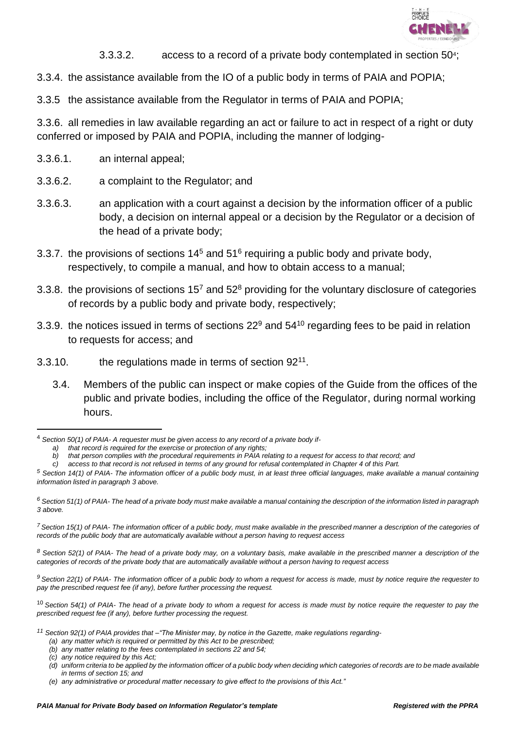

- 3.3.3.2. access to a record of a private body contemplated in section 50<sup>4</sup>;
- 3.3.4. the assistance available from the IO of a public body in terms of PAIA and POPIA;
- 3.3.5 the assistance available from the Regulator in terms of PAIA and POPIA;

3.3.6. all remedies in law available regarding an act or failure to act in respect of a right or duty conferred or imposed by PAIA and POPIA, including the manner of lodging-

- 3.3.6.1. an internal appeal;
- 3.3.6.2. a complaint to the Regulator; and
- 3.3.6.3. an application with a court against a decision by the information officer of a public body, a decision on internal appeal or a decision by the Regulator or a decision of the head of a private body;
- 3.3.7. the provisions of sections  $14<sup>5</sup>$  and  $51<sup>6</sup>$  requiring a public body and private body, respectively, to compile a manual, and how to obtain access to a manual;
- 3.3.8. the provisions of sections  $15<sup>7</sup>$  and  $52<sup>8</sup>$  providing for the voluntary disclosure of categories of records by a public body and private body, respectively;
- 3.3.9. the notices issued in terms of sections 22<sup>9</sup> and 54<sup>10</sup> regarding fees to be paid in relation to requests for access; and
- 3.3.10.  $\qquad$  the regulations made in terms of section  $92^{11}$ .
	- 3.4. Members of the public can inspect or make copies of the Guide from the offices of the public and private bodies, including the office of the Regulator, during normal working hours.

*<sup>8</sup> Section 52(1) of PAIA- The head of a private body may, on a voluntary basis, make available in the prescribed manner a description of the categories of records of the private body that are automatically available without a person having to request access*

*<sup>9</sup> Section 22(1) of PAIA- The information officer of a public body to whom a request for access is made, must by notice require the requester to pay the prescribed request fee (if any), before further processing the request.*

<sup>10</sup> *Section 54(1) of PAIA- The head of a private body to whom a request for access is made must by notice require the requester to pay the prescribed request fee (if any), before further processing the request.*

- *<sup>11</sup> Section 92(1) of PAIA provides that –"The Minister may, by notice in the Gazette, make regulations regarding-*
	- *(a) any matter which is required or permitted by this Act to be prescribed;*
	- *(b) any matter relating to the fees contemplated in sections 22 and 54;*

<sup>4</sup> *Section 50(1) of PAIA- A requester must be given access to any record of a private body if-*

*a) that record is required for the exercise or protection of any rights;*

*b) that person complies with the procedural requirements in PAIA relating to a request for access to that record; and*

*c) access to that record is not refused in terms of any ground for refusal contemplated in Chapter 4 of this Part.*

*<sup>5</sup> Section 14(1) of PAIA- The information officer of a public body must, in at least three official languages, make available a manual containing information listed in paragraph 3 above.*

*<sup>6</sup> Section 51(1) of PAIA- The head of a private body must make available a manual containing the description of the information listed in paragraph 3 above.*

*<sup>7</sup> Section 15(1) of PAIA- The information officer of a public body, must make available in the prescribed manner a description of the categories of records of the public body that are automatically available without a person having to request access*

*<sup>(</sup>c) any notice required by this Act;*

*<sup>(</sup>d) uniform criteria to be applied by the information officer of a public body when deciding which categories of records are to be made available in terms of section 15; and*

*<sup>(</sup>e) any administrative or procedural matter necessary to give effect to the provisions of this Act."*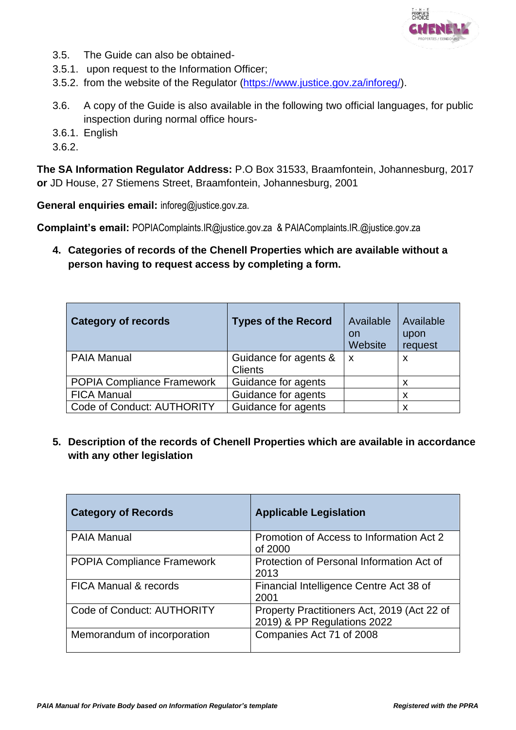

- 3.5. The Guide can also be obtained-
- 3.5.1. upon request to the Information Officer;
- 3.5.2. from the website of the Regulator [\(https://www.justice.gov.za/inforeg/\)](https://www.justice.gov.za/inforeg/).
- 3.6. A copy of the Guide is also available in the following two official languages, for public inspection during normal office hours-
- 3.6.1. English
- 3.6.2.

**The SA Information Regulator Address:** P.O Box 31533, Braamfontein, Johannesburg, 2017 **or** JD House, 27 Stiemens Street, Braamfontein, Johannesburg, 2001

**General enquiries email:** inforeg@justice.gov.za.

**Complaint's email:** POPIAComplaints.IR@justice.gov.za & PAIAComplaints.IR.@justice.gov.za

**4. Categories of records of the Chenell Properties which are available without a person having to request access by completing a form.**

| <b>Category of records</b>        | <b>Types of the Record</b>              | Available<br>on<br>Website | Available<br>upon<br>request |
|-----------------------------------|-----------------------------------------|----------------------------|------------------------------|
| <b>PAIA Manual</b>                | Guidance for agents &<br><b>Clients</b> | $\boldsymbol{\mathsf{x}}$  | X                            |
| <b>POPIA Compliance Framework</b> | Guidance for agents                     |                            | x                            |
| <b>FICA Manual</b>                | Guidance for agents                     |                            | X                            |
| Code of Conduct: AUTHORITY        | Guidance for agents                     |                            | X                            |

**5. Description of the records of Chenell Properties which are available in accordance with any other legislation**

| <b>Category of Records</b>        | <b>Applicable Legislation</b>                                              |
|-----------------------------------|----------------------------------------------------------------------------|
| <b>PAIA Manual</b>                | Promotion of Access to Information Act 2<br>of 2000                        |
| POPIA Compliance Framework        | Protection of Personal Information Act of<br>2013                          |
| <b>FICA Manual &amp; records</b>  | Financial Intelligence Centre Act 38 of<br>2001                            |
| <b>Code of Conduct: AUTHORITY</b> | Property Practitioners Act, 2019 (Act 22 of<br>2019) & PP Regulations 2022 |
| Memorandum of incorporation       | Companies Act 71 of 2008                                                   |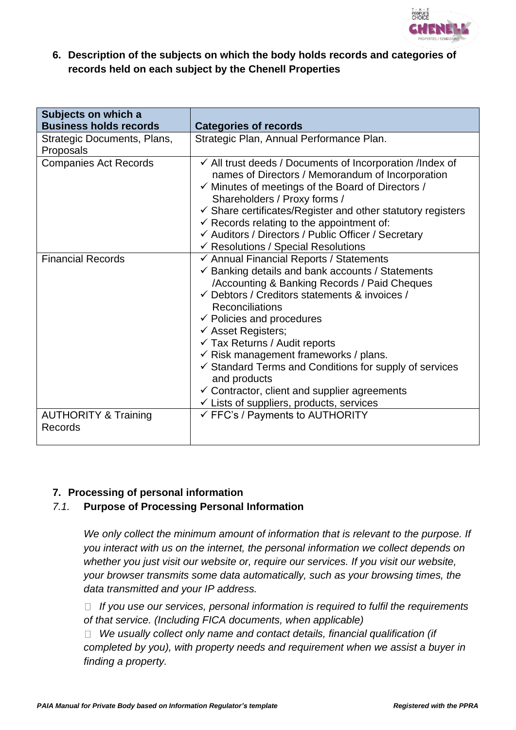

#### **6. Description of the subjects on which the body holds records and categories of records held on each subject by the Chenell Properties**

| Subjects on which a<br><b>Business holds records</b> | <b>Categories of records</b>                                                                                                                                                                                                                                                                                                                                                                                                                                                                                                                                                                                    |
|------------------------------------------------------|-----------------------------------------------------------------------------------------------------------------------------------------------------------------------------------------------------------------------------------------------------------------------------------------------------------------------------------------------------------------------------------------------------------------------------------------------------------------------------------------------------------------------------------------------------------------------------------------------------------------|
| Strategic Documents, Plans,<br>Proposals             | Strategic Plan, Annual Performance Plan.                                                                                                                                                                                                                                                                                                                                                                                                                                                                                                                                                                        |
| <b>Companies Act Records</b>                         | $\checkmark$ All trust deeds / Documents of Incorporation /Index of<br>names of Directors / Memorandum of Incorporation<br>$\checkmark$ Minutes of meetings of the Board of Directors /<br>Shareholders / Proxy forms /<br>$\checkmark$ Share certificates/Register and other statutory registers<br>$\checkmark$ Records relating to the appointment of:<br>← Auditors / Directors / Public Officer / Secretary<br>$\checkmark$ Resolutions / Special Resolutions                                                                                                                                              |
| <b>Financial Records</b>                             | ← Annual Financial Reports / Statements<br>Banking details and bank accounts / Statements<br>/Accounting & Banking Records / Paid Cheques<br>$\checkmark$ Debtors / Creditors statements & invoices /<br><b>Reconciliations</b><br>$\checkmark$ Policies and procedures<br>$\checkmark$ Asset Registers;<br>$\checkmark$ Tax Returns / Audit reports<br>$\checkmark$ Risk management frameworks / plans.<br>$\checkmark$ Standard Terms and Conditions for supply of services<br>and products<br>$\checkmark$ Contractor, client and supplier agreements<br>$\checkmark$ Lists of suppliers, products, services |
| <b>AUTHORITY &amp; Training</b><br>Records           | $\checkmark$ FFC's / Payments to AUTHORITY                                                                                                                                                                                                                                                                                                                                                                                                                                                                                                                                                                      |

#### **7. Processing of personal information**

#### *7.1.* **Purpose of Processing Personal Information**

*We only collect the minimum amount of information that is relevant to the purpose. If you interact with us on the internet, the personal information we collect depends on whether you just visit our website or, require our services. If you visit our website, your browser transmits some data automatically, such as your browsing times, the data transmitted and your IP address.*

*If you use our services, personal information is required to fulfil the requirements of that service. (Including FICA documents, when applicable)*

*We usually collect only name and contact details, financial qualification (if completed by you), with property needs and requirement when we assist a buyer in finding a property.*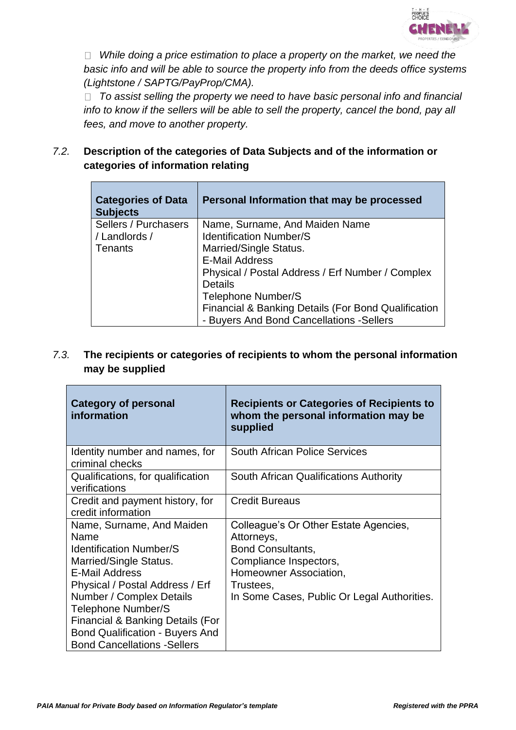

*While doing a price estimation to place a property on the market, we need the basic info and will be able to source the property info from the deeds office systems (Lightstone / SAPTG/PayProp/CMA).* 

*To assist selling the property we need to have basic personal info and financial info to know if the sellers will be able to sell the property, cancel the bond, pay all fees, and move to another property.*

#### *7.2.* **Description of the categories of Data Subjects and of the information or categories of information relating**

| <b>Categories of Data</b><br><b>Subjects</b> | Personal Information that may be processed          |
|----------------------------------------------|-----------------------------------------------------|
| Sellers / Purchasers                         | Name, Surname, And Maiden Name                      |
| / Landlords /                                | <b>Identification Number/S</b>                      |
| <b>Tenants</b>                               | Married/Single Status.                              |
|                                              | <b>E-Mail Address</b>                               |
|                                              | Physical / Postal Address / Erf Number / Complex    |
|                                              | <b>Details</b>                                      |
|                                              | Telephone Number/S                                  |
|                                              | Financial & Banking Details (For Bond Qualification |
|                                              | - Buyers And Bond Cancellations - Sellers           |

#### *7.3.* **The recipients or categories of recipients to whom the personal information may be supplied**

| <b>Category of personal</b><br>information            | <b>Recipients or Categories of Recipients to</b><br>whom the personal information may be<br>supplied |
|-------------------------------------------------------|------------------------------------------------------------------------------------------------------|
| Identity number and names, for<br>criminal checks     | <b>South African Police Services</b>                                                                 |
| Qualifications, for qualification<br>verifications    | South African Qualifications Authority                                                               |
| Credit and payment history, for<br>credit information | <b>Credit Bureaus</b>                                                                                |
| Name, Surname, And Maiden                             | Colleague's Or Other Estate Agencies,                                                                |
| Name                                                  | Attorneys,                                                                                           |
| <b>Identification Number/S</b>                        | <b>Bond Consultants,</b>                                                                             |
| Married/Single Status.<br><b>E-Mail Address</b>       | Compliance Inspectors,                                                                               |
| Physical / Postal Address / Erf                       | Homeowner Association,                                                                               |
| Number / Complex Details                              | Trustees,<br>In Some Cases, Public Or Legal Authorities.                                             |
| Telephone Number/S                                    |                                                                                                      |
| Financial & Banking Details (For                      |                                                                                                      |
| <b>Bond Qualification - Buyers And</b>                |                                                                                                      |
| <b>Bond Cancellations - Sellers</b>                   |                                                                                                      |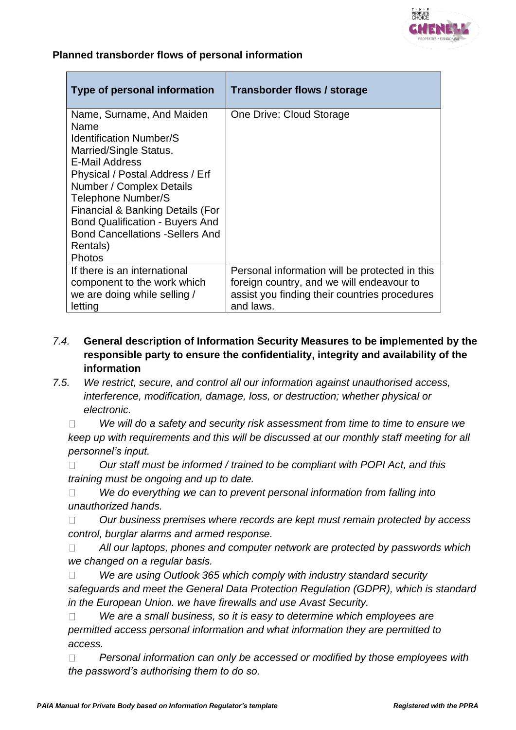

#### **Planned transborder flows of personal information**

| Type of personal information                                                                                                                                                                                                                                                                                                                                          | Transborder flows / storage                                                                                                                               |
|-----------------------------------------------------------------------------------------------------------------------------------------------------------------------------------------------------------------------------------------------------------------------------------------------------------------------------------------------------------------------|-----------------------------------------------------------------------------------------------------------------------------------------------------------|
| Name, Surname, And Maiden<br>Name<br>Identification Number/S<br>Married/Single Status.<br>E-Mail Address<br>Physical / Postal Address / Erf<br>Number / Complex Details<br><b>Telephone Number/S</b><br><b>Financial &amp; Banking Details (For</b><br><b>Bond Qualification - Buyers And</b><br><b>Bond Cancellations - Sellers And</b><br>Rentals)<br><b>Photos</b> | One Drive: Cloud Storage                                                                                                                                  |
| If there is an international<br>component to the work which<br>we are doing while selling /<br>letting                                                                                                                                                                                                                                                                | Personal information will be protected in this<br>foreign country, and we will endeavour to<br>assist you finding their countries procedures<br>and laws. |

- *7.4.* **General description of Information Security Measures to be implemented by the responsible party to ensure the confidentiality, integrity and availability of the information**
- *7.5. We restrict, secure, and control all our information against unauthorised access, interference, modification, damage, loss, or destruction; whether physical or electronic.*

*We will do a safety and security risk assessment from time to time to ensure we*   $\Box$ *keep up with requirements and this will be discussed at our monthly staff meeting for all personnel's input.*

*Our staff must be informed / trained to be compliant with POPI Act, and this*   $\Box$ *training must be ongoing and up to date.*

*We do everything we can to prevent personal information from falling into*   $\Box$ *unauthorized hands.* 

*Our business premises where records are kept must remain protected by access*   $\Box$ *control, burglar alarms and armed response.*

*All our laptops, phones and computer network are protected by passwords which*  $\Box$ *we changed on a regular basis.* 

*We are using Outlook 365 which comply with industry standard security*   $\Box$ *safeguards and meet the General Data Protection Regulation (GDPR), which is standard in the European Union. we have firewalls and use Avast Security.*

*We are a small business, so it is easy to determine which employees are*   $\Box$ *permitted access personal information and what information they are permitted to access.* 

*Personal information can only be accessed or modified by those employees with*   $\Box$ *the password's authorising them to do so.*